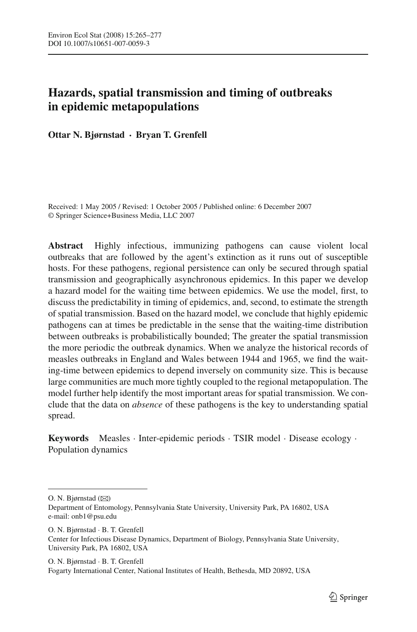# **Hazards, spatial transmission and timing of outbreaks in epidemic metapopulations**

**Ottar N. Bjørnstad · Bryan T. Grenfell**

Received: 1 May 2005 / Revised: 1 October 2005 / Published online: 6 December 2007 © Springer Science+Business Media, LLC 2007

**Abstract** Highly infectious, immunizing pathogens can cause violent local outbreaks that are followed by the agent's extinction as it runs out of susceptible hosts. For these pathogens, regional persistence can only be secured through spatial transmission and geographically asynchronous epidemics. In this paper we develop a hazard model for the waiting time between epidemics. We use the model, first, to discuss the predictability in timing of epidemics, and, second, to estimate the strength of spatial transmission. Based on the hazard model, we conclude that highly epidemic pathogens can at times be predictable in the sense that the waiting-time distribution between outbreaks is probabilistically bounded; The greater the spatial transmission the more periodic the outbreak dynamics. When we analyze the historical records of measles outbreaks in England and Wales between 1944 and 1965, we find the waiting-time between epidemics to depend inversely on community size. This is because large communities are much more tightly coupled to the regional metapopulation. The model further help identify the most important areas for spatial transmission. We conclude that the data on *absence* of these pathogens is the key to understanding spatial spread.

**Keywords** Measles · Inter-epidemic periods · TSIR model · Disease ecology · Population dynamics

O. N. Bjørnstad  $(\boxtimes)$ 

O. N. Bjørnstad · B. T. Grenfell Center for Infectious Disease Dynamics, Department of Biology, Pennsylvania State University, University Park, PA 16802, USA

O. N. Bjørnstad · B. T. Grenfell Fogarty International Center, National Institutes of Health, Bethesda, MD 20892, USA

Department of Entomology, Pennsylvania State University, University Park, PA 16802, USA e-mail: onb1@psu.edu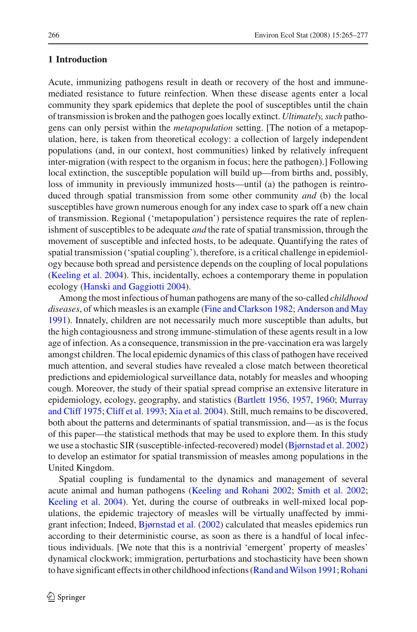## **1 Introduction**

Acute, immunizing pathogens result in death or recovery of the host and immunemediated resistance to future reinfection. When these disease agents enter a local community they spark epidemics that deplete the pool of susceptibles until the chain of transmission is broken and the pathogen goes locally extinct. *Ultimately, such* pathogens can only persist within the *metapopulation* setting. [The notion of a metapopulation, here, is taken from theoretical ecology: a collection of largely independent populations (and, in our context, host communities) linked by relatively infrequent inter-migration (with respect to the organism in focus; here the pathogen).] Following local extinction, the susceptible population will build up—from births and, possibly, loss of immunity in previously immunized hosts—until (a) the pathogen is reintroduced through spatial transmission from some other community *and* (b) the local susceptibles have grown numerous enough for any index case to spark off a new chain of transmission. Regional ('metapopulation') persistence requires the rate of replenishment of susceptibles to be adequate *and* the rate of spatial transmission, through the movement of susceptible and infected hosts, to be adequate. Quantifying the rates of spatial transmission ('spatial coupling'), therefore, is a critical challenge in epidemiology because both spread and persistence depends on the coupling of local populations [\(Keeling et al. 2004](#page-12-0)). This, incidentally, echoes a contemporary theme in population ecology [\(Hanski and Gaggiotti 2004\)](#page-11-0).

Among the most infectious of human pathogens are many of the so-called *childhood diseases*, of which measles is an example [\(Fine and Clarkson 1982;](#page-11-1) [Anderson and May](#page-11-2) [1991\)](#page-11-2). Innately, children are not necessarily much more susceptible than adults, but the high contagiousness and strong immune-stimulation of these agents result in a low age of infection. As a consequence, transmission in the pre-vaccination era was largely amongst children. The local epidemic dynamics of this class of pathogen have received much attention, and several studies have revealed a close match between theoretical predictions and epidemiological surveillance data, notably for measles and whooping cough. Moreover, the study of their spatial spread comprise an extensive literature in epidemi[ology,](#page-12-1) [ecology,](#page-12-1) [geography,](#page-12-1) [and](#page-12-1) [statistics](#page-12-1) [\(Bartlett 1956,](#page-11-3) [1957,](#page-11-4) [1960;](#page-11-5) Murray and Cliff [1975](#page-12-1); [Cliff et al. 1993](#page-11-6); [Xia et al. 2004](#page-12-2)). Still, much remains to be discovered, both about the patterns and determinants of spatial transmission, and—as is the focus of this paper—the statistical methods that may be used to explore them. In this study we use a stochastic SIR (susceptible-infected-recovered) model [\(Bjørnstad et al. 2002\)](#page-11-7) to develop an estimator for spatial transmission of measles among populations in the United Kingdom.

Spatial coupling is fundamental to the dynamics and management of several acute animal and human pathogens [\(Keeling and Rohani 2002](#page-12-3); [Smith et al. 2002](#page-12-4); [Keeling et al. 2004](#page-12-0)). Yet, during the course of outbreaks in well-mixed local populations, the epidemic trajectory of measles will be virtually unaffected by immigrant infection; Indeed, [Bjørnstad et al.](#page-11-7) [\(2002](#page-11-7)) calculated that measles epidemics run according to their deterministic course, as soon as there is a handful of local infectious individuals. [We note that this is a nontrivial 'emergent' property of measles' dynamical clockwork; immigration, perturbations and stochasticity have been shown to have significant effects in other childhood infections (Rand and Wilson 1991; Rohani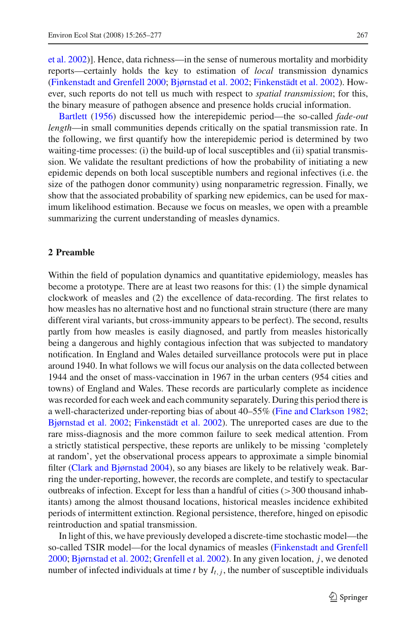et al. [2002\)](#page-12-6)]. Hence, data richness—in the sense of numerous mortality and morbidity reports—certainly holds the key to estimation of *local* transmission dynamics [\(Finkenstadt and Grenfell 2000;](#page-11-8) [Bjørnstad et al. 2002](#page-11-7); [Finkenstädt et al. 2002\)](#page-11-9). However, such reports do not tell us much with respect to *spatial transmission*; for this, [the](#page-11-3) [binary](#page-11-3) measure of pathogen absence and presence holds crucial information.

Bartlett [\(1956](#page-11-3)) discussed how the interepidemic period—the so-called *fade-out length*—in small communities depends critically on the spatial transmission rate. In the following, we first quantify how the interepidemic period is determined by two waiting-time processes: (i) the build-up of local susceptibles and (ii) spatial transmission. We validate the resultant predictions of how the probability of initiating a new epidemic depends on both local susceptible numbers and regional infectives (i.e. the size of the pathogen donor community) using nonparametric regression. Finally, we show that the associated probability of sparking new epidemics, can be used for maximum likelihood estimation. Because we focus on measles, we open with a preamble summarizing the current understanding of measles dynamics.

#### **2 Preamble**

Within the field of population dynamics and quantitative epidemiology, measles has become a prototype. There are at least two reasons for this: (1) the simple dynamical clockwork of measles and (2) the excellence of data-recording. The first relates to how measles has no alternative host and no functional strain structure (there are many different viral variants, but cross-immunity appears to be perfect). The second, results partly from how measles is easily diagnosed, and partly from measles historically being a dangerous and highly contagious infection that was subjected to mandatory notification. In England and Wales detailed surveillance protocols were put in place around 1940. In what follows we will focus our analysis on the data collected between 1944 and the onset of mass-vaccination in 1967 in the urban centers (954 cities and towns) of England and Wales. These records are particularly complete as incidence was recorded for each week and each community separately. During this period there is a well-characterized under-reporting bias of about 40–55% [\(Fine and Clarkson 1982](#page-11-1); [Bjørnstad et al. 2002;](#page-11-7) [Finkenstädt et al. 2002](#page-11-9)). The unreported cases are due to the rare miss-diagnosis and the more common failure to seek medical attention. From a strictly statistical perspective, these reports are unlikely to be missing 'completely at random', yet the observational process appears to approximate a simple binomial filter [\(Clark and Bjørnstad 2004](#page-11-10)), so any biases are likely to be relatively weak. Barring the under-reporting, however, the records are complete, and testify to spectacular outbreaks of infection. Except for less than a handful of cities  $(>300$  thousand inhabitants) among the almost thousand locations, historical measles incidence exhibited periods of intermittent extinction. Regional persistence, therefore, hinged on episodic reintroduction and spatial transmission.

In light of this, we have previously developed a discrete-time stochastic model—the so-called TSIR model—for the local dynamics of measles [\(Finkenstadt and Grenfell](#page-11-8) [2000;](#page-11-8) [Bjørnstad et al. 2002](#page-11-7); [Grenfell et al. 2002](#page-11-11)). In any given location, *j*, we denoted number of infected individuals at time *t* by  $I_{t,i}$ , the number of susceptible individuals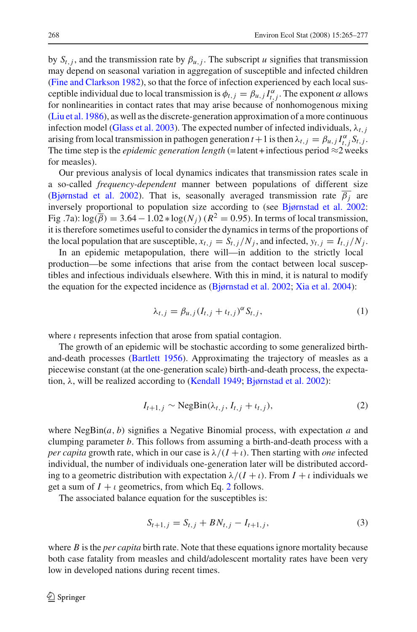by  $S_{t,j}$ , and the transmission rate by  $\beta_{u,j}$ . The subscript *u* signifies that transmission may depend on seasonal variation in aggregation of susceptible and infected children [\(Fine and Clarkson 1982](#page-11-1)), so that the force of infection experienced by each local susceptible individual due to local transmission is  $\phi_{t,j} = \beta_{u,j} I_{t,j}^{\alpha}$ . The exponent  $\alpha$  allows for nonlinearities in contact rates that may arise because of nonhomogenous mixing [\(Liu et al. 1986](#page-12-7)), as well as the discrete-generation approximation of a more continuous infection model [\(Glass et al. 2003\)](#page-11-12). The expected number of infected individuals,  $\lambda_{t,i}$ arising from local transmission in pathogen generation  $t + 1$  is then  $\lambda_{t,j} = \beta_{u,j} I_{t,j}^{\alpha} S_{t,j}$ . The time step is the *epidemic generation length* (=latent + infectious period  $\approx$ 2 weeks for measles).

Our previous analysis of local dynamics indicates that transmission rates scale in a so-called *frequency-dependent* manner between populations of different size [\(Bjørnstad et al. 2002](#page-11-7)). That is, seasonally averaged transmission rate  $\beta_i$  are inversely proportional to population size according to (see [Bjørnstad et al. 2002](#page-11-7): Fig .7a):  $\log(\overline{\beta}) = 3.64 - 1.02 * \log(N_i)$  ( $R^2 = 0.95$ ). In terms of local transmission, it is therefore sometimes useful to consider the dynamics in terms of the proportions of the local population that are susceptible,  $x_{t,i} = S_{t,i}/N_i$ , and infected,  $y_{t,i} = I_{t,i}/N_i$ .

In an epidemic metapopulation, there will—in addition to the strictly local production—be some infections that arise from the contact between local susceptibles and infectious individuals elsewhere. With this in mind, it is natural to modify the equation for the expected incidence as [\(Bjørnstad et al. 2002;](#page-11-7) [Xia et al. 2004](#page-12-2)):

<span id="page-3-2"></span>
$$
\lambda_{t,j} = \beta_{u,j} (I_{t,j} + t_{t,j})^{\alpha} S_{t,j}, \qquad (1)
$$

where  $\iota$  represents infection that arose from spatial contagion.

The growth of an epidemic will be stochastic according to some generalized birthand-death processes [\(Bartlett 1956](#page-11-3)). Approximating the trajectory of measles as a piecewise constant (at the one-generation scale) birth-and-death process, the expectation, λ, will be realized according to [\(Kendall 1949;](#page-12-8) [Bjørnstad et al. 2002\)](#page-11-7):

<span id="page-3-0"></span>
$$
I_{t+1,j} \sim \text{NegBin}(\lambda_{t,j}, I_{t,j} + \iota_{t,j}),\tag{2}
$$

where  $NegBin(a, b)$  signifies a Negative Binomial process, with expectation *a* and clumping parameter *b*. This follows from assuming a birth-and-death process with a *per capita* growth rate, which in our case is  $\lambda/(I + \iota)$ . Then starting with *one* infected individual, the number of individuals one-generation later will be distributed according to a geometric distribution with expectation  $\lambda/(I + \iota)$ . From  $I + \iota$  individuals we get a sum of  $I + i$  geometrics, from which Eq. [2](#page-3-0) follows.

The associated balance equation for the susceptibles is:

<span id="page-3-1"></span>
$$
S_{t+1,j} = S_{t,j} + BN_{t,j} - I_{t+1,j},
$$
\n(3)

where *B* is the *per capita* birth rate. Note that these equations ignore mortality because both case fatality from measles and child/adolescent mortality rates have been very low in developed nations during recent times.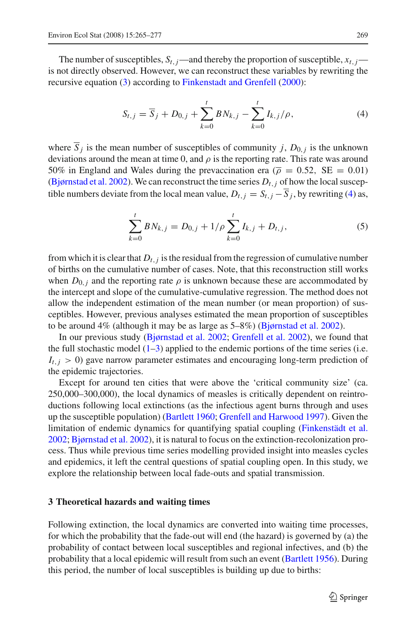The number of susceptibles,  $S_{t,j}$ —and thereby the proportion of susceptible,  $x_{t,j}$  is not directly observed. However, we can reconstruct these variables by rewriting the recursive equation [\(3\)](#page-3-1) according to [Finkenstadt and Grenfell](#page-11-8) [\(2000\)](#page-11-8):

<span id="page-4-0"></span>
$$
S_{t,j} = \overline{S}_j + D_{0,j} + \sum_{k=0}^{t} B N_{k,j} - \sum_{k=0}^{t} I_{k,j} / \rho,
$$
 (4)

where  $\overline{S}_i$  is the mean number of susceptibles of community *j*,  $D_{0,i}$  is the unknown deviations around the mean at time 0, and  $\rho$  is the reporting rate. This rate was around 50% in England and Wales during the prevaccination era ( $\bar{\rho} = 0.52$ , SE = 0.01) [\(Bjørnstad et al. 2002](#page-11-7)). We can reconstruct the time series  $D_{t,i}$  of how the local susceptible numbers deviate from the local mean value,  $D_{t,j} = S_{t,j} - \overline{S}_j$ , by rewriting [\(4\)](#page-4-0) as,

$$
\sum_{k=0}^{t} BN_{k,j} = D_{0,j} + 1/\rho \sum_{k=0}^{t} I_{k,j} + D_{t,j},
$$
\n(5)

from which it is clear that  $D_t$ , *j* is the residual from the regression of cumulative number of births on the cumulative number of cases. Note, that this reconstruction still works when  $D_{0,i}$  and the reporting rate  $\rho$  is unknown because these are accommodated by the intercept and slope of the cumulative-cumulative regression. The method does not allow the independent estimation of the mean number (or mean proportion) of susceptibles. However, previous analyses estimated the mean proportion of susceptibles to be around 4% (although it may be as large as 5–8%) [\(Bjørnstad et al. 2002](#page-11-7)).

In our previous study [\(Bjørnstad et al. 2002](#page-11-7); [Grenfell et al. 2002\)](#page-11-11), we found that the full stochastic model  $(1-3)$  $(1-3)$  applied to the endemic portions of the time series (i.e.  $I_{t,i}$  > 0) gave narrow parameter estimates and encouraging long-term prediction of the epidemic trajectories.

Except for around ten cities that were above the 'critical community size' (ca. 250,000–300,000), the local dynamics of measles is critically dependent on reintroductions following local extinctions (as the infectious agent burns through and uses up the susceptible population) [\(Bartlett 1960;](#page-11-5) [Grenfell and Harwood 1997\)](#page-11-13). Given the limitation of endemic dynamics for quantifying spatial coupling [\(Finkenstädt et al.](#page-11-9) [2002;](#page-11-9) [Bjørnstad et al. 2002\)](#page-11-7), it is natural to focus on the extinction-recolonization process. Thus while previous time series modelling provided insight into measles cycles and epidemics, it left the central questions of spatial coupling open. In this study, we explore the relationship between local fade-outs and spatial transmission.

### <span id="page-4-1"></span>**3 Theoretical hazards and waiting times**

Following extinction, the local dynamics are converted into waiting time processes, for which the probability that the fade-out will end (the hazard) is governed by (a) the probability of contact between local susceptibles and regional infectives, and (b) the probability that a local epidemic will result from such an event [\(Bartlett 1956](#page-11-3)). During this period, the number of local susceptibles is building up due to births: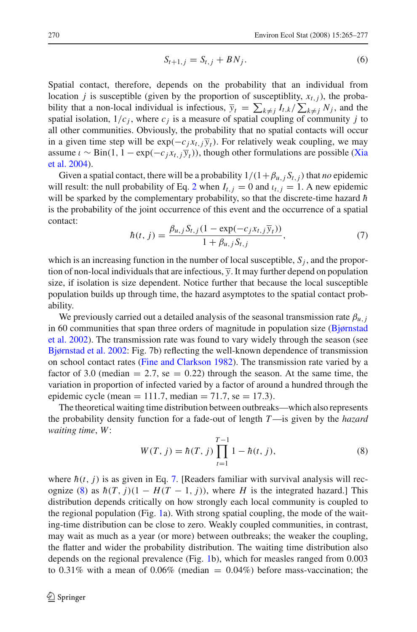$$
S_{t+1,j} = S_{t,j} + BN_j. \tag{6}
$$

Spatial contact, therefore, depends on the probability that an individual from location *j* is susceptible (given by the proportion of susceptiblity,  $x_{t,i}$ ), the probability that a non-local individual is infectious,  $\overline{y}_t = \sum_{k \neq j} I_{t,k} / \sum_{k \neq j} N_j$ , and the spatial isolation,  $1/c_j$ , where  $c_j$  is a measure of spatial coupling of community *j* to all other communities. Obviously, the probability that no spatial contacts will occur in a given time step will be  $exp(-c_i x_t, i\overline{y}_t)$ . For relatively weak coupling, we may assume  $\iota \sim \text{Bin}(1, 1 - \exp(-c_j x_{t,i} \overline{y}_t))$  $\iota \sim \text{Bin}(1, 1 - \exp(-c_j x_{t,i} \overline{y}_t))$  $\iota \sim \text{Bin}(1, 1 - \exp(-c_j x_{t,i} \overline{y}_t))$  $\iota \sim \text{Bin}(1, 1 - \exp(-c_j x_{t,i} \overline{y}_t))$  $\iota \sim \text{Bin}(1, 1 - \exp(-c_j x_{t,i} \overline{y}_t))$ , [though](#page-12-2) [other](#page-12-2) [formulations](#page-12-2) [are](#page-12-2) [possible](#page-12-2) (Xia et al. [2004\)](#page-12-2).

Given a spatial contact, there will be a probability  $1/(1+\beta_{u,j}S_{t,j})$  that *no* epidemic will result: the null probability of Eq. [2](#page-3-0) when  $I_{t,j} = 0$  and  $i_{t,j} = 1$ . A new epidemic will be sparked by the complementary probability, so that the discrete-time hazard  $\hbar$ is the probability of the joint occurrence of this event and the occurrence of a spatial contact:

$$
\hbar(t, j) = \frac{\beta_{u,j} S_{t,j} (1 - \exp(-c_j x_{t,j} \overline{y}_t))}{1 + \beta_{u,j} S_{t,j}},
$$
\n(7)

<span id="page-5-0"></span>which is an increasing function in the number of local susceptible,  $S_i$ , and the proportion of non-local individuals that are infectious,  $\overline{y}$ . It may further depend on population size, if isolation is size dependent. Notice further that because the local susceptible population builds up through time, the hazard asymptotes to the spatial contact probability.

We previously carried out a detailed analysis of the seasonal transmission rate  $\beta_{u,i}$ in 6[0](#page-11-7) [communities](#page-11-7) [that](#page-11-7) [span](#page-11-7) [three](#page-11-7) [orders](#page-11-7) [of](#page-11-7) [magnitude](#page-11-7) [in](#page-11-7) [population](#page-11-7) [size](#page-11-7) [\(](#page-11-7)Bjørnstad et al. [2002\)](#page-11-7). The transmission rate was found to vary widely through the season (see [Bjørnstad et al. 2002:](#page-11-7) Fig. 7b) reflecting the well-known dependence of transmission on school contact rates [\(Fine and Clarkson 1982](#page-11-1)). The transmission rate varied by a factor of 3.0 (median  $= 2.7$ , se  $= 0.22$ ) through the season. At the same time, the variation in proportion of infected varied by a factor of around a hundred through the epidemic cycle (mean = 111.7, median = 71.7, se = 17.3).

<span id="page-5-1"></span>The theoretical waiting time distribution between outbreaks—which also represents the probability density function for a fade-out of length *T*—is given by the *hazard waiting time*, *W*:

$$
W(T, j) = \hbar(T, j) \prod_{t=1}^{T-1} 1 - \hbar(t, j),
$$
\n(8)

where  $h(t, j)$  is as given in Eq. [7.](#page-5-0) [Readers familiar with survival analysis will rec-ognize [\(8\)](#page-5-1) as  $\hbar(T, j)(1 - H(T - 1, j))$ , where *H* is the integrated hazard.] This distribution depends critically on how strongly each local community is coupled to the regional population (Fig. [1a](#page-6-0)). With strong spatial coupling, the mode of the waiting-time distribution can be close to zero. Weakly coupled communities, in contrast, may wait as much as a year (or more) between outbreaks; the weaker the coupling, the flatter and wider the probability distribution. The waiting time distribution also depends on the regional prevalence (Fig. [1b](#page-6-0)), which for measles ranged from 0.003 to 0.31% with a mean of 0.06% (median  $= 0.04\%$ ) before mass-vaccination; the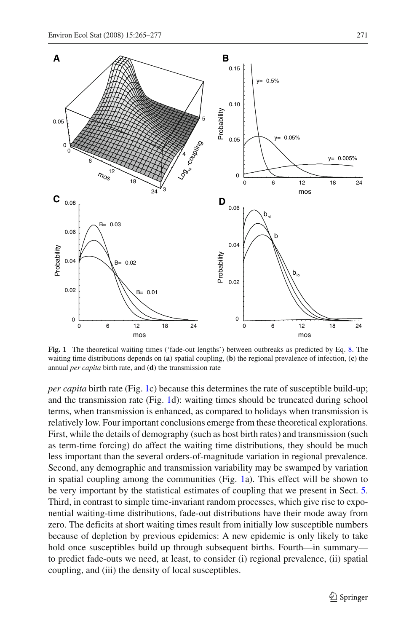

<span id="page-6-0"></span>**Fig. 1** The theoretical waiting times ('fade-out lengths') between outbreaks as predicted by Eq. [8.](#page-5-1) The waiting time distributions depends on (**a**) spatial coupling, (**b**) the regional prevalence of infection, (**c**) the annual *per capita* birth rate, and (**d**) the transmission rate

*per capita* birth rate (Fig. [1c](#page-6-0)) because this determines the rate of susceptible build-up; and the transmission rate (Fig. [1d](#page-6-0)): waiting times should be truncated during school terms, when transmission is enhanced, as compared to holidays when transmission is relatively low. Four important conclusions emerge from these theoretical explorations. First, while the details of demography (such as host birth rates) and transmission (such as term-time forcing) do affect the waiting time distributions, they should be much less important than the several orders-of-magnitude variation in regional prevalence. Second, any demographic and transmission variability may be swamped by variation in spatial coupling among the communities (Fig. [1a](#page-6-0)). This effect will be shown to be very important by the statistical estimates of coupling that we present in Sect. [5.](#page-8-0) Third, in contrast to simple time-invariant random processes, which give rise to exponential waiting-time distributions, fade-out distributions have their mode away from zero. The deficits at short waiting times result from initially low susceptible numbers because of depletion by previous epidemics: A new epidemic is only likely to take hold once susceptibles build up through subsequent births. Fourth—in summary to predict fade-outs we need, at least, to consider (i) regional prevalence, (ii) spatial coupling, and (iii) the density of local susceptibles.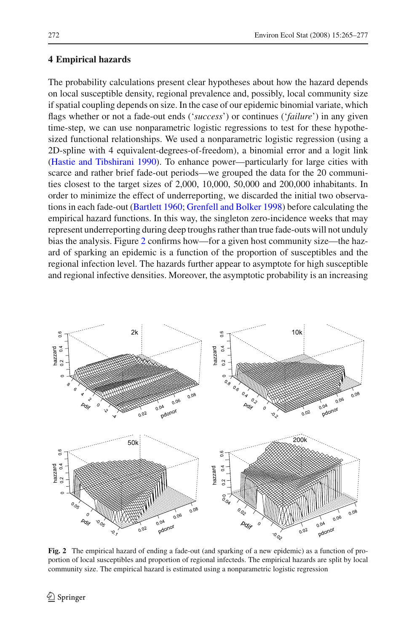# **4 Empirical hazards**

The probability calculations present clear hypotheses about how the hazard depends on local susceptible density, regional prevalence and, possibly, local community size if spatial coupling depends on size. In the case of our epidemic binomial variate, which flags whether or not a fade-out ends ('*success*') or continues ('*failure*') in any given time-step, we can use nonparametric logistic regressions to test for these hypothesized functional relationships. We used a nonparametric logistic regression (using a 2D-spline with 4 equivalent-degrees-of-freedom), a binomial error and a logit link [\(Hastie and Tibshirani 1990\)](#page-11-14). To enhance power—particularly for large cities with scarce and rather brief fade-out periods—we grouped the data for the 20 communities closest to the target sizes of 2,000, 10,000, 50,000 and 200,000 inhabitants. In order to minimize the effect of underreporting, we discarded the initial two observations in each fade-out [\(Bartlett 1960](#page-11-5); [Grenfell and Bolker 1998](#page-11-15)) before calculating the empirical hazard functions. In this way, the singleton zero-incidence weeks that may represent underreporting during deep troughs rather than true fade-outs will not unduly bias the analysis. Figure [2](#page-7-0) confirms how—for a given host community size—the hazard of sparking an epidemic is a function of the proportion of susceptibles and the regional infection level. The hazards further appear to asymptote for high susceptible and regional infective densities. Moreover, the asymptotic probability is an increasing



<span id="page-7-0"></span>**Fig. 2** The empirical hazard of ending a fade-out (and sparking of a new epidemic) as a function of proportion of local susceptibles and proportion of regional infecteds. The empirical hazards are split by local community size. The empirical hazard is estimated using a nonparametric logistic regression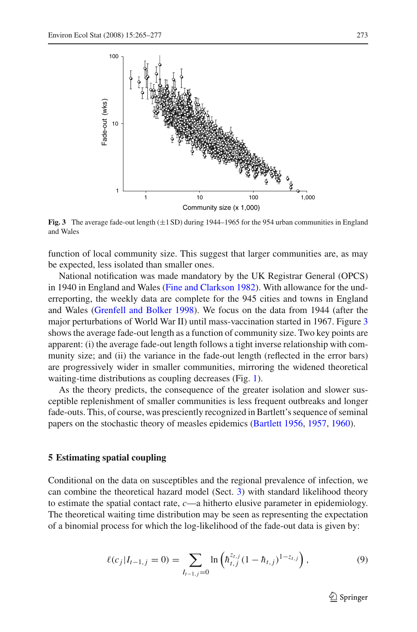

<span id="page-8-1"></span>**Fig. 3** The average fade-out length  $(\pm 1 \text{ SD})$  during 1944–1965 for the 954 urban communities in England and Wales

function of local community size. This suggest that larger communities are, as may be expected, less isolated than smaller ones.

National notification was made mandatory by the UK Registrar General (OPCS) in 1940 in England and Wales [\(Fine and Clarkson 1982](#page-11-1)). With allowance for the underreporting, the weekly data are complete for the 945 cities and towns in England and Wales [\(Grenfell and Bolker 1998](#page-11-15)). We focus on the data from 1944 (after the major perturbations of World War II) until mass-vaccination started in 1967. Figure [3](#page-8-1) shows the average fade-out length as a function of community size. Two key points are apparent: (i) the average fade-out length follows a tight inverse relationship with community size; and (ii) the variance in the fade-out length (reflected in the error bars) are progressively wider in smaller communities, mirroring the widened theoretical waiting-time distributions as coupling decreases (Fig. [1\)](#page-6-0).

As the theory predicts, the consequence of the greater isolation and slower susceptible replenishment of smaller communities is less frequent outbreaks and longer fade-outs. This, of course, was presciently recognized in Bartlett's sequence of seminal papers on the stochastic theory of measles epidemics [\(Bartlett 1956](#page-11-3), [1957](#page-11-4), [1960](#page-11-5)).

## <span id="page-8-0"></span>**5 Estimating spatial coupling**

Conditional on the data on susceptibles and the regional prevalence of infection, we can combine the theoretical hazard model (Sect. [3\)](#page-4-1) with standard likelihood theory to estimate the spatial contact rate, *c*—a hitherto elusive parameter in epidemiology. The theoretical waiting time distribution may be seen as representing the expectation of a binomial process for which the log-likelihood of the fade-out data is given by:

$$
\ell(c_j|I_{t-1,j}=0)=\sum_{I_{t-1,j}=0}\ln\left(\hbar_{t,j}^{z_{t,j}}(1-\hbar_{t,j})^{1-z_{t,j}}\right),\tag{9}
$$

 $\mathcal{L}$  Springer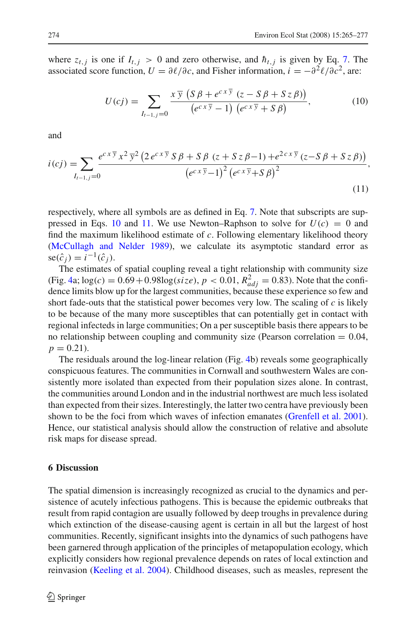where  $z_{t,i}$  is one if  $I_{t,i} > 0$  and zero otherwise, and  $\hbar_{t,i}$  is given by Eq. [7.](#page-5-0) The associated score function,  $U = \partial \ell / \partial c$ , and Fisher information,  $i = -\partial^2 \ell / \partial c^2$ , are:

<span id="page-9-0"></span>
$$
U(cj) = \sum_{I_{t-1,j}=0} \frac{x \overline{y} \left( S \beta + e^{c \overline{x} \overline{y}} (z - S \beta + S z \beta) \right)}{\left( e^{c \overline{x} \overline{y}} - 1 \right) \left( e^{c \overline{x} \overline{y}} + S \beta \right)},\tag{10}
$$

and

<span id="page-9-1"></span>
$$
i(cj) = \sum_{I_{t-1,j}=0} \frac{e^{cx\overline{y}}x^2\overline{y}^2\left(2e^{cx\overline{y}}S\beta + S\beta\left(z + Sz\beta - 1\right) + e^{2cx\overline{y}}\left(z - S\beta + Sz\beta\right)\right)}{\left(e^{cx\overline{y}}-1\right)^2\left(e^{cx\overline{y}}+S\beta\right)^2},\tag{11}
$$

respectively, where all symbols are as defined in Eq. [7.](#page-5-0) Note that subscripts are sup-pressed in Eqs. [10](#page-9-0) and [11.](#page-9-1) We use Newton–Raphson to solve for  $U(c) = 0$  and find the maximum likelihood estimate of *c*. Following elementary likelihood theory [\(McCullagh and Nelder 1989](#page-12-9)), we calculate its asymptotic standard error as  $se(\hat{c}_i) = i^{-1}(\hat{c}_i).$ 

The estimates of spatial coupling reveal a tight relationship with community size  $(Fig. 4a; log(c) = 0.69 + 0.98 log(size), p < 0.01, R<sup>2</sup>_{adj} = 0.83)$  $(Fig. 4a; log(c) = 0.69 + 0.98 log(size), p < 0.01, R<sup>2</sup>_{adj} = 0.83)$  $(Fig. 4a; log(c) = 0.69 + 0.98 log(size), p < 0.01, R<sup>2</sup>_{adj} = 0.83)$ . Note that the confidence limits blow up for the largest communities, because these experience so few and short fade-outs that the statistical power becomes very low. The scaling of *c* is likely to be because of the many more susceptibles that can potentially get in contact with regional infecteds in large communities; On a per susceptible basis there appears to be no relationship between coupling and community size (Pearson correlation  $= 0.04$ ,  $p = 0.21$ .

The residuals around the log-linear relation (Fig. [4b](#page-10-0)) reveals some geographically conspicuous features. The communities in Cornwall and southwestern Wales are consistently more isolated than expected from their population sizes alone. In contrast, the communities around London and in the industrial northwest are much less isolated than expected from their sizes. Interestingly, the latter two centra have previously been shown to be the foci from which waves of infection emanates [\(Grenfell et al. 2001](#page-11-16)). Hence, our statistical analysis should allow the construction of relative and absolute risk maps for disease spread.

### **6 Discussion**

The spatial dimension is increasingly recognized as crucial to the dynamics and persistence of acutely infectious pathogens. This is because the epidemic outbreaks that result from rapid contagion are usually followed by deep troughs in prevalence during which extinction of the disease-causing agent is certain in all but the largest of host communities. Recently, significant insights into the dynamics of such pathogens have been garnered through application of the principles of metapopulation ecology, which explicitly considers how regional prevalence depends on rates of local extinction and reinvasion [\(Keeling et al. 2004](#page-12-0)). Childhood diseases, such as measles, represent the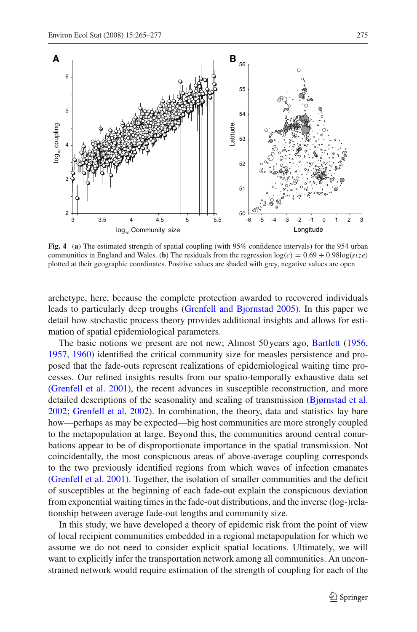

<span id="page-10-0"></span>**Fig. 4** (**a**) The estimated strength of spatial coupling (with 95% confidence intervals) for the 954 urban communities in England and Wales. (**b**) The residuals from the regression  $log(c) = 0.69 + 0.98log(size)$ plotted at their geographic coordinates. Positive values are shaded with grey, negative values are open

archetype, here, because the complete protection awarded to recovered individuals leads to particularly deep troughs [\(Grenfell and Bjornstad 2005\)](#page-11-17). In this paper we detail how stochastic process theory provides additional insights and allows for estimation of spatial epidemiological parameters.

The basic notions we present are not new; Almost 50 years ago, [Bartlett](#page-11-3) [\(1956,](#page-11-3) [1957,](#page-11-4) [1960](#page-11-5)) identified the critical community size for measles persistence and proposed that the fade-outs represent realizations of epidemiological waiting time processes. Our refined insights results from our spatio-temporally exhaustive data set [\(Grenfell et al. 2001\)](#page-11-16), the recent advances in susceptible reconstruction, and more detailed descriptions of the seasonality and scaling of transmission [\(Bjørnstad et al.](#page-11-7) [2002;](#page-11-7) [Grenfell et al. 2002\)](#page-11-11). In combination, the theory, data and statistics lay bare how—perhaps as may be expected—big host communities are more strongly coupled to the metapopulation at large. Beyond this, the communities around central conurbations appear to be of disproportionate importance in the spatial transmission. Not coincidentally, the most conspicuous areas of above-average coupling corresponds to the two previously identified regions from which waves of infection emanates [\(Grenfell et al. 2001](#page-11-16)). Together, the isolation of smaller communities and the deficit of susceptibles at the beginning of each fade-out explain the conspicuous deviation from exponential waiting times in the fade-out distributions, and the inverse (log-)relationship between average fade-out lengths and community size.

In this study, we have developed a theory of epidemic risk from the point of view of local recipient communities embedded in a regional metapopulation for which we assume we do not need to consider explicit spatial locations. Ultimately, we will want to explicitly infer the transportation network among all communities. An unconstrained network would require estimation of the strength of coupling for each of the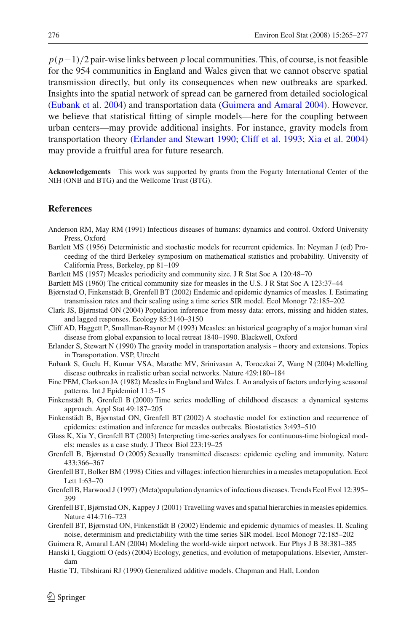*p*(*p*−1)/2 pair-wise links between *p* local communities. This, of course, is not feasible for the 954 communities in England and Wales given that we cannot observe spatial transmission directly, but only its consequences when new outbreaks are sparked. Insights into the spatial network of spread can be garnered from detailed sociological [\(Eubank et al. 2004\)](#page-11-18) and transportation data [\(Guimera and Amaral 2004](#page-11-19)). However, we believe that statistical fitting of simple models—here for the coupling between urban centers—may provide additional insights. For instance, gravity models from transportation theory [\(Erlander and Stewart 1990;](#page-11-20) [Cliff et al. 1993;](#page-11-6) [Xia et al. 2004\)](#page-12-2) may provide a fruitful area for future research.

**Acknowledgements** This work was supported by grants from the Fogarty International Center of the NIH (ONB and BTG) and the Wellcome Trust (BTG).

# **References**

- <span id="page-11-2"></span>Anderson RM, May RM (1991) Infectious diseases of humans: dynamics and control. Oxford University Press, Oxford
- <span id="page-11-3"></span>Bartlett MS (1956) Deterministic and stochastic models for recurrent epidemics. In: Neyman J (ed) Proceeding of the third Berkeley symposium on mathematical statistics and probability. University of California Press, Berkeley, pp 81–109
- <span id="page-11-5"></span><span id="page-11-4"></span>Bartlett MS (1957) Measles periodicity and community size. J R Stat Soc A 120:48–70
- Bartlett MS (1960) The critical community size for measles in the U.S. J R Stat Soc A 123:37–44
- <span id="page-11-7"></span>Bjørnstad O, Finkenstädt B, Grenfell BT (2002) Endemic and epidemic dynamics of measles. I. Estimating transmission rates and their scaling using a time series SIR model. Ecol Monogr 72:185–202
- <span id="page-11-10"></span>Clark JS, Bjørnstad ON (2004) Population inference from messy data: errors, missing and hidden states, and lagged responses. Ecology 85:3140–3150
- <span id="page-11-6"></span>Cliff AD, Haggett P, Smallman-Raynor M (1993) Measles: an historical geography of a major human viral disease from global expansion to local retreat 1840–1990. Blackwell, Oxford
- <span id="page-11-20"></span>Erlander S, Stewart N (1990) The gravity model in transportation analysis – theory and extensions. Topics in Transportation. VSP, Utrecht
- <span id="page-11-18"></span>Eubank S, Guclu H, Kumar VSA, Marathe MV, Srinivasan A, Toroczkai Z, Wang N (2004) Modelling disease outbreaks in realistic urban social networks. Nature 429:180–184
- <span id="page-11-1"></span>Fine PEM, Clarkson JA (1982) Measles in England and Wales. I. An analysis of factors underlying seasonal patterns. Int J Epidemiol 11:5–15
- <span id="page-11-8"></span>Finkenstädt B, Grenfell B (2000) Time series modelling of childhood diseases: a dynamical systems approach. Appl Stat 49:187–205
- <span id="page-11-9"></span>Finkenstädt B, Bjørnstad ON, Grenfell BT (2002) A stochastic model for extinction and recurrence of epidemics: estimation and inference for measles outbreaks. Biostatistics 3:493–510
- <span id="page-11-12"></span>Glass K, Xia Y, Grenfell BT (2003) Interpreting time-series analyses for continuous-time biological models: measles as a case study. J Theor Biol 223:19–25
- <span id="page-11-17"></span>Grenfell B, Bjørnstad O (2005) Sexually transmitted diseases: epidemic cycling and immunity. Nature 433:366–367
- <span id="page-11-15"></span>Grenfell BT, Bolker BM (1998) Cities and villages: infection hierarchies in a measles metapopulation. Ecol Lett 1:63–70
- <span id="page-11-13"></span>Grenfell B, Harwood J (1997) (Meta)population dynamics of infectious diseases. Trends Ecol Evol 12:395– 399
- <span id="page-11-16"></span>Grenfell BT, Bjørnstad ON, Kappey J (2001) Travelling waves and spatial hierarchies in measles epidemics. Nature 414:716–723
- <span id="page-11-11"></span>Grenfell BT, Bjørnstad ON, Finkenstädt B (2002) Endemic and epidemic dynamics of measles. II. Scaling noise, determinism and predictability with the time series SIR model. Ecol Monogr 72:185–202
- <span id="page-11-19"></span>Guimera R, Amaral LAN (2004) Modeling the world-wide airport network. Eur Phys J B 38:381–385
- <span id="page-11-0"></span>Hanski I, Gaggiotti O (eds) (2004) Ecology, genetics, and evolution of metapopulations. Elsevier, Amsterdam
- <span id="page-11-14"></span>Hastie TJ, Tibshirani RJ (1990) Generalized additive models. Chapman and Hall, London